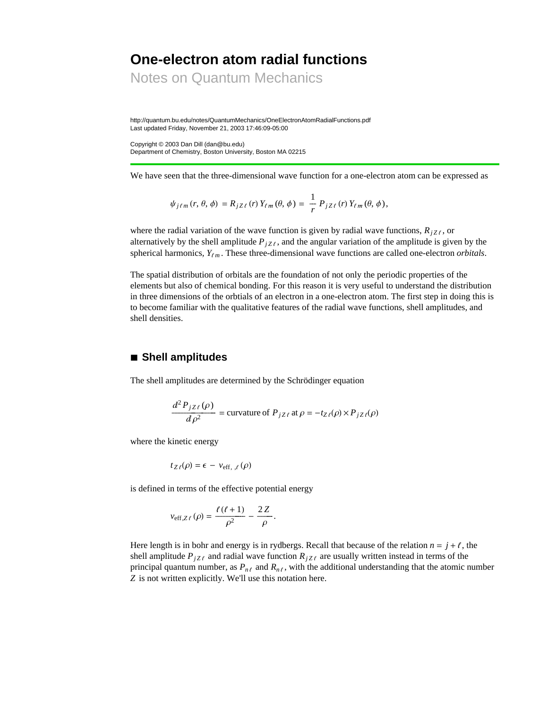# **One-electron atom radial functions**

Notes on Quantum Mechanics

http://quantum.bu.edu/notes/QuantumMechanics/OneElectronAtomRadialFunctions.pdf Last updated Friday, November 21, 2003 17:46:09-05:00

Copyright © 2003 Dan Dill (dan@bu.edu) Department of Chemistry, Boston University, Boston MA 02215

We have seen that the three-dimensional wave function for a one-electron atom can be expressed as

$$
\psi_{j\ell m}(r, \theta, \phi) = R_{j Z \ell}(r) Y_{\ell m}(\theta, \phi) = \frac{1}{r} P_{j Z \ell}(r) Y_{\ell m}(\theta, \phi),
$$

where the radial variation of the wave function is given by radial wave functions,  $R_{iZ}$ , or alternatively by the shell amplitude  $P_{iZ\ell}$ , and the angular variation of the amplitude is given by the spherical harmonics,  $Y_{\ell m}$ . These three-dimensional wave functions are called one-electron *orbitals*.

The spatial distribution of orbitals are the foundation of not only the periodic properties of the elements but also of chemical bonding. For this reason it is very useful to understand the distribution in three dimensions of the orbtials of an electron in a one-electron atom. The first step in doing this is to become familiar with the qualitative features of the radial wave functions, shell amplitudes, and shell densities.

#### **à Shell amplitudes**

The shell amplitudes are determined by the Schrödinger equation

$$
\frac{d^2 P_{jZ\ell}(\rho)}{d\rho^2} = \text{curvature of } P_{jZ\ell} \text{ at } \rho = -t_{Z\ell}(\rho) \times P_{jZ\ell}(\rho)
$$

where the kinetic energy

$$
t_{Z\ell}(\rho) = \epsilon - v_{\text{eff},\ell}(\rho)
$$

is defined in terms of the effective potential energy

$$
v_{\text{eff},Z\ell}(\rho) = \frac{\ell(\ell+1)}{\rho^2} - \frac{2Z}{\rho}.
$$

Here length is in bohr and energy is in rydbergs. Recall that because of the relation  $n = j + \ell$ , the shell amplitude  $P_{jZ\ell}$  and radial wave function  $R_{jZ\ell}$  are usually written instead in terms of the principal quantum number, as  $P_{n\ell}$  and  $R_{n\ell}$ , with the additional understanding that the atomic number *Z* is not written explicitly. We'll use this notation here.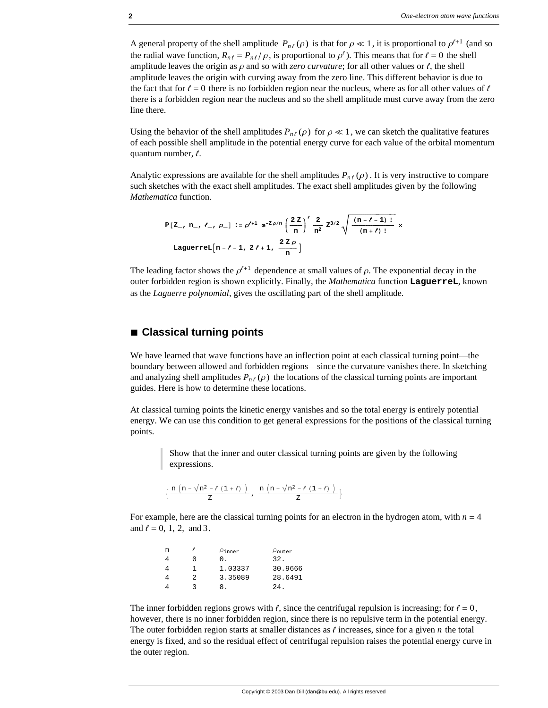A general property of the shell amplitude  $P_{n\ell}(\rho)$  is that for  $\rho \ll 1$ , it is proportional to  $\rho^{l+1}$  (and so the radial wave function,  $R_{n\ell} = P_{n\ell}/\rho$ , is proportional to  $\rho^{\ell}$ ). This means that for  $\ell = 0$  the shell amplitude leaves the origin as  $\rho$  and so with *zero curvature*; for all other values or  $\ell$ , the shell amplitude leaves the origin with curving away from the zero line. This different behavior is due to the fact that for  $\ell = 0$  there is no forbidden region near the nucleus, where as for all other values of  $\ell$ there is a forbidden region near the nucleus and so the shell amplitude must curve away from the zero line there.

Using the behavior of the shell amplitudes  $P_{n\ell}(\rho)$  for  $\rho \ll 1$ , we can sketch the qualitative features of each possible shell amplitude in the potential energy curve for each value of the orbital momentum quantum number,  $\ell$ .

Analytic expressions are available for the shell amplitudes  $P_{n\ell}(\rho)$ . It is very instructive to compare such sketches with the exact shell amplitudes. The exact shell amplitudes given by the following *Mathematica* function.

$$
P[Z_-, n_-, \ell_-, \rho_+] := \rho'^{1} e^{-Z \rho/n} \left(\frac{2Z}{n}\right)' \frac{2}{n^2} Z^{3/2} \sqrt{\frac{(n-\ell-1)!}{(n+\ell)!}} \times
$$
  
 Laguerrel $\left[n-\ell-1, 2\ell+1, \frac{2Z\rho}{n}\right]$ 

The leading factor shows the  $\rho^{t+1}$  dependence at small values of  $\rho$ . The exponential decay in the outer forbidden region is shown explicitly. Finally, the *Mathematica* function **LaguerreL**, known as the *Laguerre polynomial*, gives the oscillating part of the shell amplitude.

#### ■ **Classical turning points**

We have learned that wave functions have an inflection point at each classical turning point—the boundary between allowed and forbidden regions—since the curvature vanishes there. In sketching and analyzing shell amplitudes  $P_{n\ell}(\rho)$  the locations of the classical turning points are important guides. Here is how to determine these locations.

At classical turning points the kinetic energy vanishes and so the total energy is entirely potential energy. We can use this condition to get general expressions for the positions of the classical turning points.

> Show that the inner and outer classical turning points are given by the following expressions.

$$
\big\{\,\frac{n\,\left(n-\sqrt{n^2-\ell\,\left(1+\ell\right)}\,\,\right)}{Z}\,\,,\,\ \frac{n\,\left(n+\sqrt{n^2-\ell\,\left(1+\ell\right)}\,\,\right)}{Z}\,\big\}
$$

For example, here are the classical turning points for an electron in the hydrogen atom, with  $n = 4$ and  $\ell = 0, 1, 2, \text{ and } 3$ .

| n |   | $\rho$ inner | $\rho_{\text{outer}}$ |
|---|---|--------------|-----------------------|
|   | 0 | $\Omega$ .   | 32.                   |
| 4 |   | 1.03337      | 30.9666               |
|   | 2 | 3.35089      | 28.6491               |
|   | ર | 8.           | 24.                   |

The inner forbidden regions grows with  $\ell$ , since the centrifugal repulsion is increasing; for  $\ell = 0$ , however, there is no inner forbidden region, since there is no repulsive term in the potential energy. The outer forbidden region starts at smaller distances as  $\ell$  increases, since for a given  $n$  the total energy is fixed, and so the residual effect of centrifugal repulsion raises the potential energy curve in the outer region.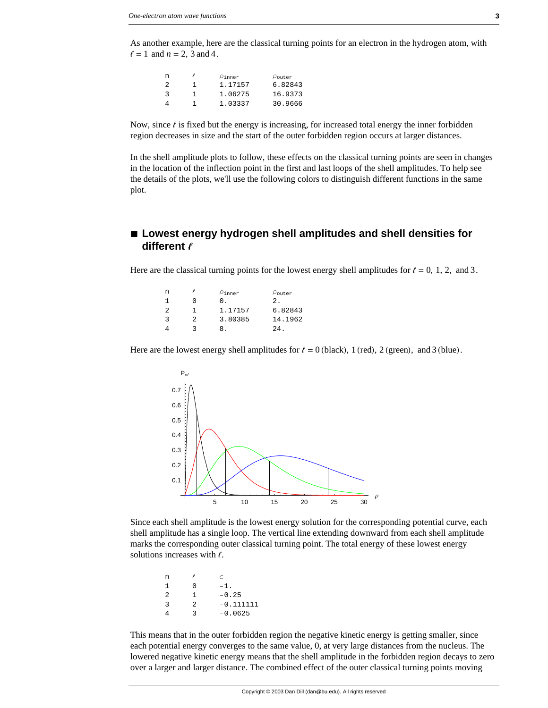As another example, here are the classical turning points for an electron in the hydrogen atom, with  $l = 1$  and  $n = 2$ , 3 and 4.

| $\rho$ inner | $\rho_{\mathtt{outer}}$ |
|--------------|-------------------------|
| 1.17157      | 6.82843                 |
| 1.06275      | 16.9373                 |
| 1.03337      | 30.9666                 |
|              |                         |

Now, since  $\ell$  is fixed but the energy is increasing, for increased total energy the inner forbidden region decreases in size and the start of the outer forbidden region occurs at larger distances.

In the shell amplitude plots to follow, these effects on the classical turning points are seen in changes in the location of the inflection point in the first and last loops of the shell amplitudes. To help see the details of the plots, we'll use the following colors to distinguish different functions in the same plot.

## **à Lowest energy hydrogen shell amplitudes and shell densities for different b**

Here are the classical turning points for the lowest energy shell amplitudes for  $\ell = 0, 1, 2,$  and 3.

| n |   | $\rho$ inner | $\rho_{\text{outer}}$ |
|---|---|--------------|-----------------------|
| 1 |   | 0.           | 2.                    |
| 2 |   | 1.17157      | 6.82843               |
| 3 | 2 | 3.80385      | 14.1962               |
|   | 2 |              | 24.                   |

Here are the lowest energy shell amplitudes for  $\ell = 0$  (black), 1 (red), 2 (green), and 3 (blue).



Since each shell amplitude is the lowest energy solution for the corresponding potential curve, each shell amplitude has a single loop. The vertical line extending downward from each shell amplitude marks the corresponding outer classical turning point. The total energy of these lowest energy solutions increases with  $\ell$ .

| n  |   | e           |
|----|---|-------------|
| 1  | ∩ | $-1$ .      |
| -2 | 1 | $-0.25$     |
| 3  | 2 | $-0.111111$ |
|    | ર | $-0.0625$   |
|    |   |             |

This means that in the outer forbidden region the negative kinetic energy is getting smaller, since each potential energy converges to the same value, 0, at very large distances from the nucleus. The lowered negative kinetic energy means that the shell amplitude in the forbidden region decays to zero over a larger and larger distance. The combined effect of the outer classical turning points moving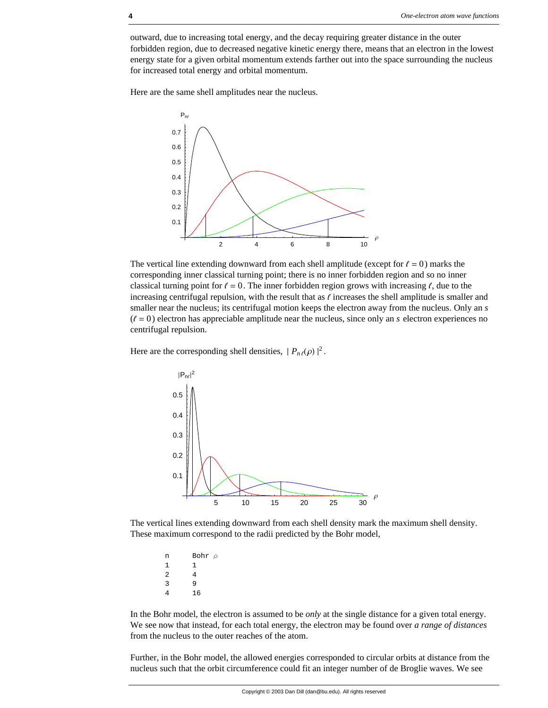outward, due to increasing total energy, and the decay requiring greater distance in the outer forbidden region, due to decreased negative kinetic energy there, means that an electron in the lowest energy state for a given orbital momentum extends farther out into the space surrounding the nucleus for increased total energy and orbital momentum.

Here are the same shell amplitudes near the nucleus.



The vertical line extending downward from each shell amplitude (except for  $\ell = 0$ ) marks the corresponding inner classical turning point; there is no inner forbidden region and so no inner classical turning point for  $\ell = 0$ . The inner forbidden region grows with increasing  $\ell$ , due to the increasing centrifugal repulsion, with the result that as  $\ell$  increases the shell amplitude is smaller and smaller near the nucleus; its centrifugal motion keeps the electron away from the nucleus. Only an *s*  $(\ell = 0)$  electron has appreciable amplitude near the nucleus, since only an *s* electron experiences no centrifugal repulsion.

Here are the corresponding shell densities,  $|P_{n\ell}(\rho)|^2$ .



The vertical lines extending downward from each shell density mark the maximum shell density. These maximum correspond to the radii predicted by the Bohr model,

n Bohr ρ  $\begin{array}{ccc} 1 & & 1 \\ 2 & & 4 \end{array}$  $\overline{a}$ 3 9 4 16

In the Bohr model, the electron is assumed to be *only* at the single distance for a given total energy. We see now that instead, for each total energy, the electron may be found over *a range of distances* from the nucleus to the outer reaches of the atom.

Further, in the Bohr model, the allowed energies corresponded to circular orbits at distance from the nucleus such that the orbit circumference could fit an integer number of de Broglie waves. We see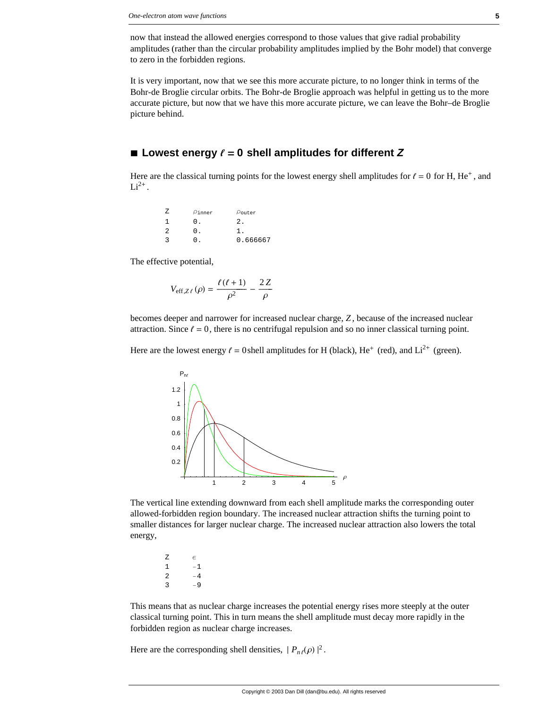now that instead the allowed energies correspond to those values that give radial probability amplitudes (rather than the circular probability amplitudes implied by the Bohr model) that converge to zero in the forbidden regions.

It is very important, now that we see this more accurate picture, to no longer think in terms of the Bohr-de Broglie circular orbits. The Bohr-de Broglie approach was helpful in getting us to the more accurate picture, but now that we have this more accurate picture, we can leave the Bohr–de Broglie picture behind.

#### $\blacksquare$  Lowest energy  $\ell = 0$  shell amplitudes for different Z

Here are the classical turning points for the lowest energy shell amplitudes for  $\ell = 0$  for H, He<sup>+</sup>, and  $Li^{2+}$ .

| z | $P$ inner  | $\rho_{\text{outer}}$ |
|---|------------|-----------------------|
|   | $\Omega$ . | 2.                    |
| 2 | 0.         |                       |
| ર | 0.         | 0.666667              |

The effective potential,

$$
V_{\text{eff},Z\ell}\left(\rho\right) = \frac{\ell\left(\ell+1\right)}{\rho^2} - \frac{2Z}{\rho}
$$

becomes deeper and narrower for increased nuclear charge, *Z* , because of the increased nuclear attraction. Since  $\ell = 0$ , there is no centrifugal repulsion and so no inner classical turning point.

Here are the lowest energy  $\ell = 0$  shell amplitudes for H (black), He<sup>+</sup> (red), and Li<sup>2+</sup> (green).



The vertical line extending downward from each shell amplitude marks the corresponding outer allowed-forbidden region boundary. The increased nuclear attraction shifts the turning point to smaller distances for larger nuclear charge. The increased nuclear attraction also lowers the total energy,

 $Z$   $\in$ 1 −1 2  $-4$ 3 −9

This means that as nuclear charge increases the potential energy rises more steeply at the outer classical turning point. This in turn means the shell amplitude must decay more rapidly in the forbidden region as nuclear charge increases.

Here are the corresponding shell densities,  $|P_{n\ell}(\rho)|^2$ .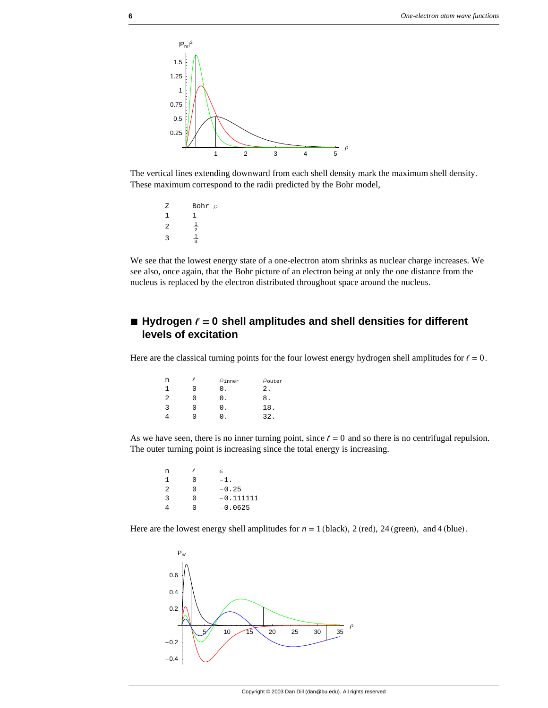

The vertical lines extending downward from each shell density mark the maximum shell density. These maximum correspond to the radii predicted by the Bohr model,

Z Bohr ρ 1 1 2  $\frac{1}{2}$ 3  $\frac{1}{3}$ 

We see that the lowest energy state of a one-electron atom shrinks as nuclear charge increases. We see also, once again, that the Bohr picture of an electron being at only the one distance from the nucleus is replaced by the electron distributed throughout space around the nucleus.

# $\blacksquare$  Hydrogen  $\ell = 0$  shell amplitudes and shell densities for different **levels of excitation**

Here are the classical turning points for the four lowest energy hydrogen shell amplitudes for  $\ell = 0$ .

| n |        | $\rho$ inner | $\rho_{\text{outer}}$ |
|---|--------|--------------|-----------------------|
|   | U      | 0.           | 2.                    |
| 2 | $\cup$ | 0.           | 8.                    |
| 3 | U      | 0.           | 18.                   |
|   | 0      | n            | 32.                   |

As we have seen, there is no inner turning point, since  $\ell = 0$  and so there is no centrifugal repulsion. The outer turning point is increasing since the total energy is increasing.

| n |   | E.          |
|---|---|-------------|
| 1 | U | $-1$ .      |
| 2 | U | $-0.25$     |
| 3 | O | $-0.111111$ |
|   | O | $-0.0625$   |
|   |   |             |

Here are the lowest energy shell amplitudes for  $n = 1$  (black), 2 (red), 24 (green), and 4 (blue).

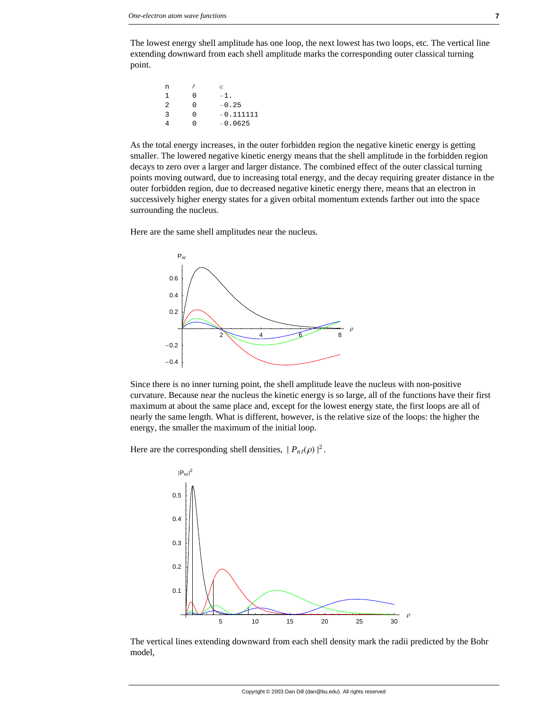The lowest energy shell amplitude has one loop, the next lowest has two loops, etc. The vertical line extending downward from each shell amplitude marks the corresponding outer classical turning point.

| n |   | e           |
|---|---|-------------|
| 1 | N | $-1$ .      |
| 2 | N | $-0.25$     |
| 3 | N | $-0.111111$ |
|   | ∩ | $-0.0625$   |
|   |   |             |

As the total energy increases, in the outer forbidden region the negative kinetic energy is getting smaller. The lowered negative kinetic energy means that the shell amplitude in the forbidden region decays to zero over a larger and larger distance. The combined effect of the outer classical turning points moving outward, due to increasing total energy, and the decay requiring greater distance in the outer forbidden region, due to decreased negative kinetic energy there, means that an electron in successively higher energy states for a given orbital momentum extends farther out into the space surrounding the nucleus.

Here are the same shell amplitudes near the nucleus.



Since there is no inner turning point, the shell amplitude leave the nucleus with non-positive curvature. Because near the nucleus the kinetic energy is so large, all of the functions have their first maximum at about the same place and, except for the lowest energy state, the first loops are all of nearly the same length. What is different, however, is the relative size of the loops: the higher the energy, the smaller the maximum of the initial loop.

Here are the corresponding shell densities,  $|P_{n\ell}(\rho)|^2$ .



The vertical lines extending downward from each shell density mark the radii predicted by the Bohr model,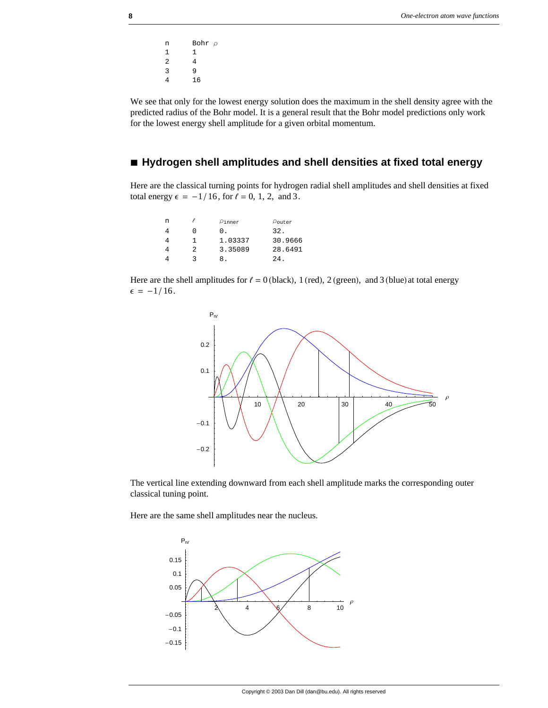n Bohr $\rho$ 1 1 2 4 3 9 4 16

We see that only for the lowest energy solution does the maximum in the shell density agree with the predicted radius of the Bohr model. It is a general result that the Bohr model predictions only work for the lowest energy shell amplitude for a given orbital momentum.

## **à Hydrogen shell amplitudes and shell densities at fixed total energy**

Here are the classical turning points for hydrogen radial shell amplitudes and shell densities at fixed total energy  $\epsilon = -1/16$ , for  $\ell = 0, 1, 2,$  and 3.

| n |   | $\rho$ inner | $\rho_{\text{outer}}$ |
|---|---|--------------|-----------------------|
|   | O | 0.           | 32.                   |
|   |   | 1.03337      | 30.9666               |
|   | 2 | 3.35089      | 28.6491               |
|   | ર | x.           | $2.4$ .               |

Here are the shell amplitudes for  $\ell = 0$  (black), 1 (red), 2 (green), and 3 (blue) at total energy  $\epsilon = -1/16$ .



The vertical line extending downward from each shell amplitude marks the corresponding outer classical tuning point.

Here are the same shell amplitudes near the nucleus.

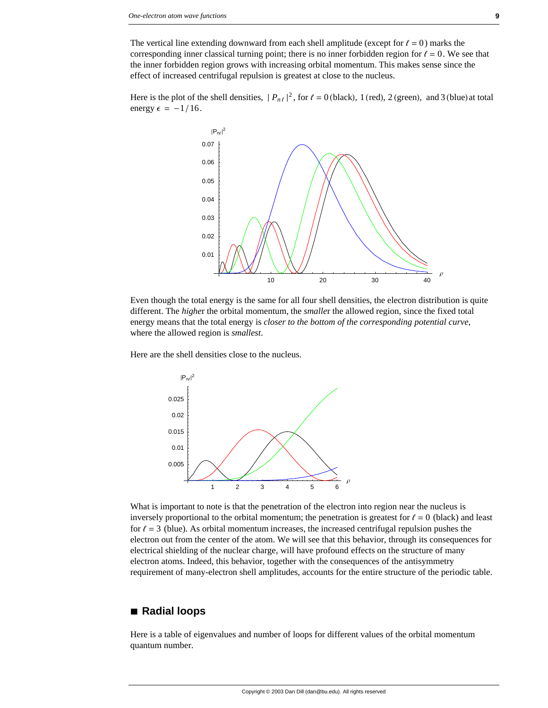The vertical line extending downward from each shell amplitude (except for  $\ell = 0$ ) marks the corresponding inner classical turning point; there is no inner forbidden region for  $\ell = 0$ . We see that the inner forbidden region grows with increasing orbital momentum. This makes sense since the effect of increased centrifugal repulsion is greatest at close to the nucleus.

Here is the plot of the shell densities,  $|P_{n\ell}|^2$ , for  $\ell = 0$  (black), 1 (red), 2 (green), and 3 (blue) at total energy  $\epsilon = -1/16$ .



Even though the total energy is the same for all four shell densities, the electron distribution is quite different. The *highe*r the orbital momentum, the *smalle*r the allowed region, since the fixed total energy means that the total energy is *closer to the bottom of the corresponding potential curve*, where the allowed region is *smallest*.

Here are the shell densities close to the nucleus.



What is important to note is that the penetration of the electron into region near the nucleus is inversely proportional to the orbital momentum; the penetration is greatest for  $\ell = 0$  (black) and least for  $\ell = 3$  (blue). As orbital momentum increases, the increased centrifugal repulsion pushes the electron out from the center of the atom. We will see that this behavior, through its consequences for electrical shielding of the nuclear charge, will have profound effects on the structure of many electron atoms. Indeed, this behavior, together with the consequences of the antisymmetry requirement of many-electron shell amplitudes, accounts for the entire structure of the periodic table.

#### **à Radial loops**

Here is a table of eigenvalues and number of loops for different values of the orbital momentum quantum number.